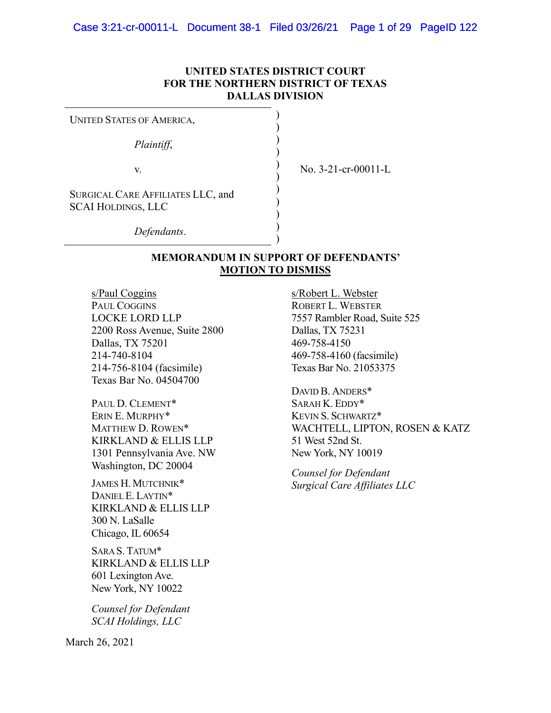## **UNITED STATES DISTRICT COURT FOR THE NORTHERN DISTRICT OF TEXAS DALLAS DIVISION**

| <b>UNITED STATES OF AMERICA,</b>                               |  |
|----------------------------------------------------------------|--|
| Plaintiff,                                                     |  |
| V.                                                             |  |
| SURGICAL CARE AFFILIATES LLC, and<br><b>SCAI HOLDINGS, LLC</b> |  |
| Defendants.                                                    |  |

) No. 3-21-cr-00011-L

## **MEMORANDUM IN SUPPORT OF DEFENDANTS' MOTION TO DISMISS**

)

s/Paul Coggins PAUL COGGINS LOCKE LORD LLP 2200 Ross Avenue, Suite 2800 Dallas, TX 75201 214-740-8104 214-756-8104 (facsimile) Texas Bar No. 04504700

PAUL D. CLEMENT\* ERIN E. MURPHY\* MATTHEW D. ROWEN\* KIRKLAND & ELLIS LLP 1301 Pennsylvania Ave. NW Washington, DC 20004

JAMES H. MUTCHNIK\* DANIEL E. LAYTIN\* KIRKLAND & ELLIS LLP 300 N. LaSalle Chicago, IL 60654

SARA S. TATUM\* KIRKLAND & ELLIS LLP 601 Lexington Ave. New York, NY 10022

*Counsel for Defendant SCAI Holdings, LLC* 

March 26, 2021

s/Robert L. Webster ROBERT L. WEBSTER 7557 Rambler Road, Suite 525 Dallas, TX 75231 469-758-4150 469-758-4160 (facsimile) Texas Bar No. 21053375

DAVID B. ANDERS\* SARAH K. EDDY\* KEVIN S. SCHWARTZ\* WACHTELL, LIPTON, ROSEN & KATZ 51 West 52nd St. New York, NY 10019

*Counsel for Defendant Surgical Care Affiliates LLC*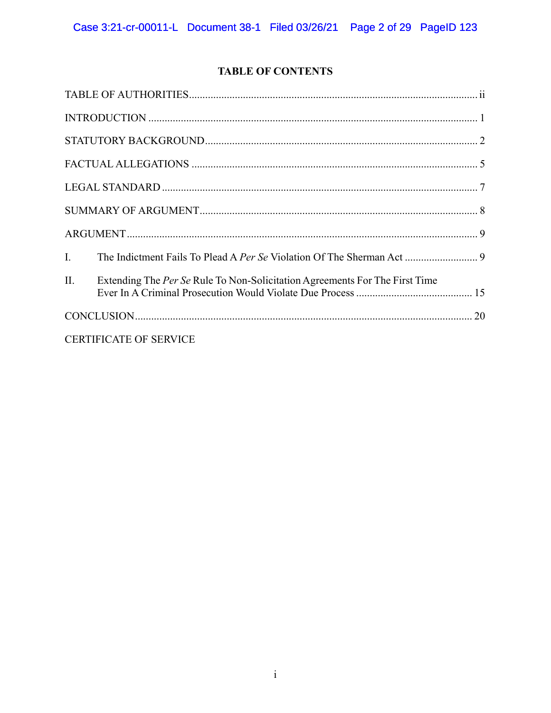## **TABLE OF CONTENTS**

| $\mathbf{I}$ . |                                                                             |
|----------------|-----------------------------------------------------------------------------|
| II.            | Extending The Per Se Rule To Non-Solicitation Agreements For The First Time |
|                |                                                                             |
|                | <b>CERTIFICATE OF SERVICE</b>                                               |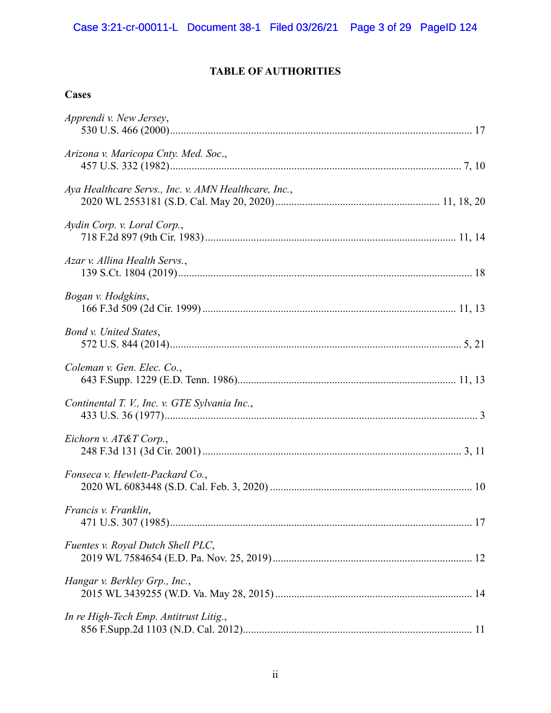## **TABLE OF AUTHORITIES**

## **Cases**

| Apprendi v. New Jersey,                              |
|------------------------------------------------------|
| Arizona v. Maricopa Cnty. Med. Soc.,                 |
| Aya Healthcare Servs., Inc. v. AMN Healthcare, Inc., |
| Aydin Corp. v. Loral Corp.,                          |
| Azar v. Allina Health Servs.,                        |
| Bogan v. Hodgkins,                                   |
| Bond v. United States,                               |
| Coleman v. Gen. Elec. Co.,                           |
| Continental T. V., Inc. v. GTE Sylvania Inc.,        |
| Eichorn v. AT&T Corp.,                               |
| Fonseca v. Hewlett-Packard Co.,                      |
| Francis v. Franklin,                                 |
| Fuentes v. Royal Dutch Shell PLC,                    |
| Hangar v. Berkley Grp., Inc.,                        |
| In re High-Tech Emp. Antitrust Litig.,               |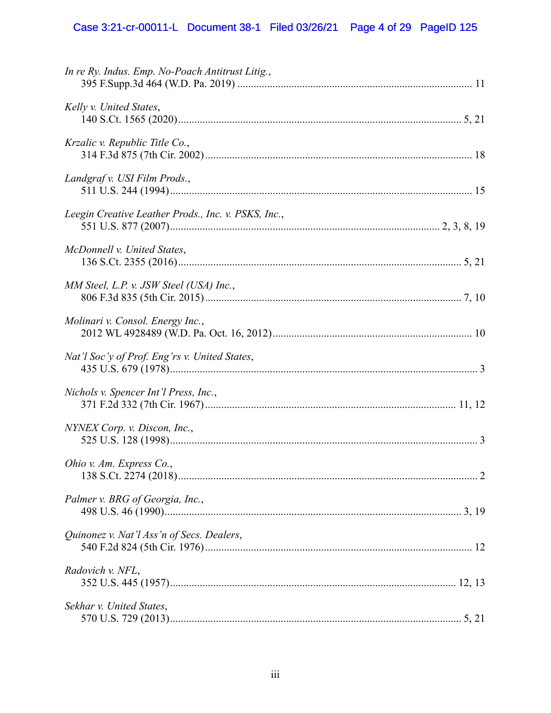# Case 3:21-cr-00011-L Document 38-1 Filed 03/26/21 Page 4 of 29 PageID 125

| In re Ry. Indus. Emp. No-Poach Antitrust Litig.,    |  |
|-----------------------------------------------------|--|
| Kelly v. United States,                             |  |
| Krzalic v. Republic Title Co.,                      |  |
| Landgraf v. USI Film Prods.,                        |  |
| Leegin Creative Leather Prods., Inc. v. PSKS, Inc., |  |
| McDonnell v. United States,                         |  |
| MM Steel, L.P. v. JSW Steel (USA) Inc.,             |  |
| Molinari v. Consol. Energy Inc.,                    |  |
| Nat'l Soc'y of Prof. Eng'rs v. United States,       |  |
| Nichols v. Spencer Int'l Press, Inc.,               |  |
| NYNEX Corp. v. Discon, Inc.,                        |  |
| Ohio v. Am. Express Co.,                            |  |
| Palmer v. BRG of Georgia, Inc.,                     |  |
| Quinonez v. Nat'l Ass'n of Secs. Dealers,           |  |
| Radovich v. NFL,                                    |  |
| Sekhar v. United States,                            |  |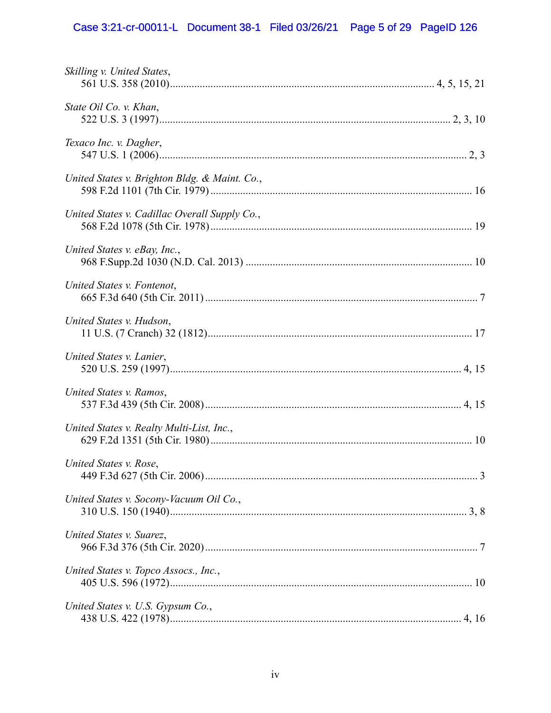# Case 3:21-cr-00011-L Document 38-1 Filed 03/26/21 Page 5 of 29 PageID 126

| Skilling v. United States,                    |  |
|-----------------------------------------------|--|
| State Oil Co. v. Khan,                        |  |
| Texaco Inc. v. Dagher,                        |  |
| United States v. Brighton Bldg. & Maint. Co., |  |
| United States v. Cadillac Overall Supply Co., |  |
| United States v. eBay, Inc.,                  |  |
| United States v. Fontenot,                    |  |
| United States v. Hudson,                      |  |
| United States v. Lanier,                      |  |
| United States v. Ramos,                       |  |
| United States v. Realty Multi-List, Inc.,     |  |
| United States v. Rose,                        |  |
| United States v. Socony-Vacuum Oil Co.,       |  |
| United States v. Suarez,                      |  |
| United States v. Topco Assocs., Inc.,         |  |
| United States v. U.S. Gypsum Co.,             |  |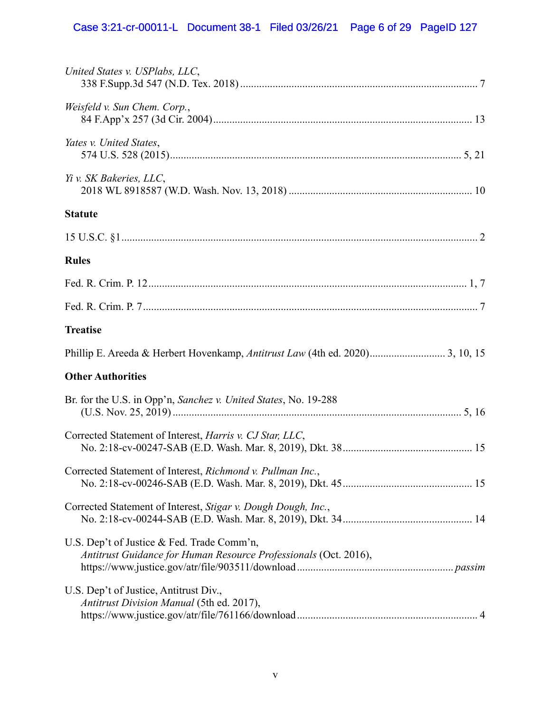# Case 3:21-cr-00011-L Document 38-1 Filed 03/26/21 Page 6 of 29 PageID 127

| United States v. USPlabs, LLC,                                                                                 |
|----------------------------------------------------------------------------------------------------------------|
| Weisfeld v. Sun Chem. Corp.,                                                                                   |
| Yates v. United States,                                                                                        |
| Yi v. SK Bakeries, LLC,                                                                                        |
| <b>Statute</b>                                                                                                 |
|                                                                                                                |
| <b>Rules</b>                                                                                                   |
|                                                                                                                |
|                                                                                                                |
| <b>Treatise</b>                                                                                                |
| Phillip E. Areeda & Herbert Hovenkamp, Antitrust Law (4th ed. 2020) 3, 10, 15                                  |
| <b>Other Authorities</b>                                                                                       |
| Br. for the U.S. in Opp'n, Sanchez v. United States, No. 19-288                                                |
| Corrected Statement of Interest, <i>Harris v. CJ Star, LLC</i> ,                                               |
| Corrected Statement of Interest, Richmond v. Pullman Inc.,                                                     |
| Corrected Statement of Interest, Stigar v. Dough Dough, Inc.,                                                  |
| U.S. Dep't of Justice & Fed. Trade Comm'n,<br>Antitrust Guidance for Human Resource Professionals (Oct. 2016), |
| U.S. Dep't of Justice, Antitrust Div.,<br>Antitrust Division Manual (5th ed. 2017),                            |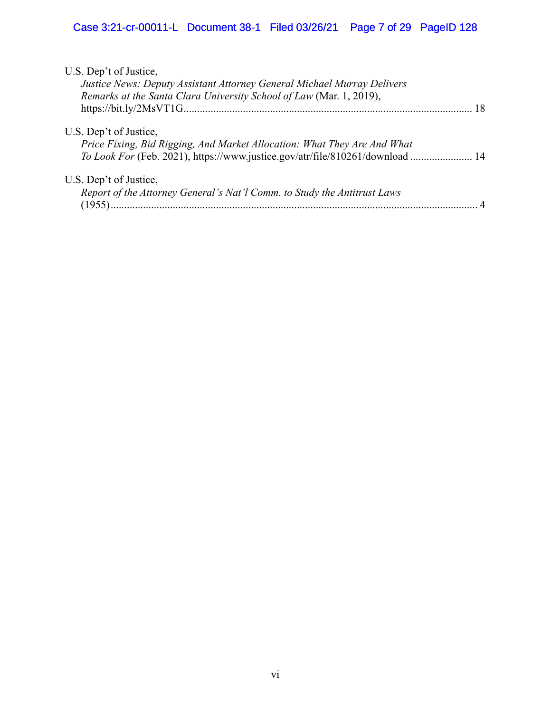| U.S. Dep't of Justice,<br>Justice News: Deputy Assistant Attorney General Michael Murray Delivers<br>Remarks at the Santa Clara University School of Law (Mar. 1, 2019),<br>18     |  |
|------------------------------------------------------------------------------------------------------------------------------------------------------------------------------------|--|
| U.S. Dep't of Justice,<br>Price Fixing, Bid Rigging, And Market Allocation: What They Are And What<br>To Look For (Feb. 2021), https://www.justice.gov/atr/file/810261/download 14 |  |
| U.S. Dep't of Justice,<br>Report of the Attorney General's Nat'l Comm. to Study the Antitrust Laws<br>(1955)                                                                       |  |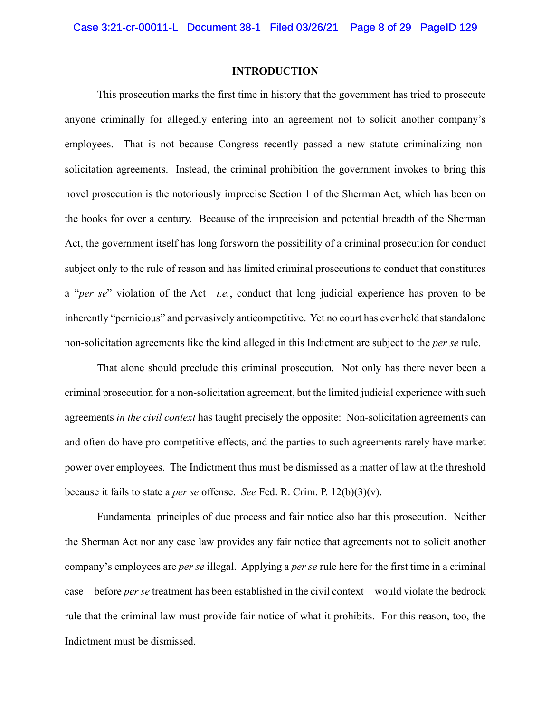### **INTRODUCTION**

This prosecution marks the first time in history that the government has tried to prosecute anyone criminally for allegedly entering into an agreement not to solicit another company's employees. That is not because Congress recently passed a new statute criminalizing nonsolicitation agreements. Instead, the criminal prohibition the government invokes to bring this novel prosecution is the notoriously imprecise Section 1 of the Sherman Act, which has been on the books for over a century. Because of the imprecision and potential breadth of the Sherman Act, the government itself has long forsworn the possibility of a criminal prosecution for conduct subject only to the rule of reason and has limited criminal prosecutions to conduct that constitutes a "*per se*" violation of the Act—*i.e.*, conduct that long judicial experience has proven to be inherently "pernicious" and pervasively anticompetitive. Yet no court has ever held that standalone non-solicitation agreements like the kind alleged in this Indictment are subject to the *per se* rule.

That alone should preclude this criminal prosecution. Not only has there never been a criminal prosecution for a non-solicitation agreement, but the limited judicial experience with such agreements *in the civil context* has taught precisely the opposite: Non-solicitation agreements can and often do have pro-competitive effects, and the parties to such agreements rarely have market power over employees. The Indictment thus must be dismissed as a matter of law at the threshold because it fails to state a *per se* offense. *See* Fed. R. Crim. P. 12(b)(3)(v).

Fundamental principles of due process and fair notice also bar this prosecution. Neither the Sherman Act nor any case law provides any fair notice that agreements not to solicit another company's employees are *per se* illegal. Applying a *per se* rule here for the first time in a criminal case—before *per se* treatment has been established in the civil context—would violate the bedrock rule that the criminal law must provide fair notice of what it prohibits. For this reason, too, the Indictment must be dismissed.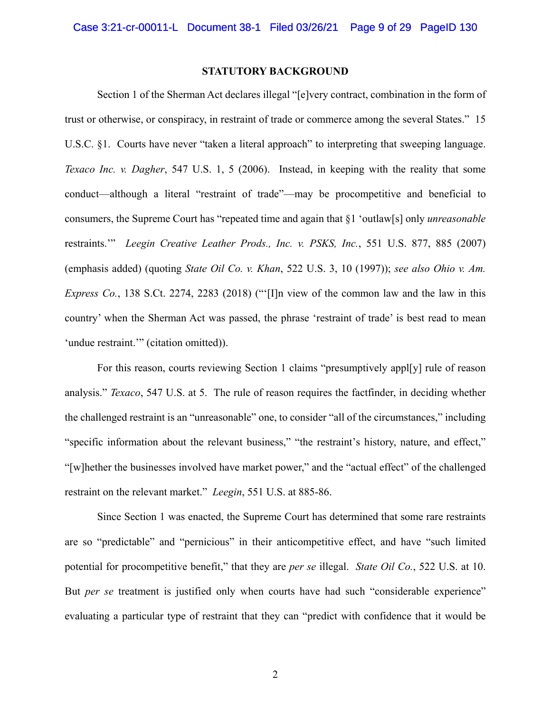## **STATUTORY BACKGROUND**

Section 1 of the Sherman Act declares illegal "[e]very contract, combination in the form of trust or otherwise, or conspiracy, in restraint of trade or commerce among the several States." 15 U.S.C. §1. Courts have never "taken a literal approach" to interpreting that sweeping language. *Texaco Inc. v. Dagher*, 547 U.S. 1, 5 (2006). Instead, in keeping with the reality that some conduct—although a literal "restraint of trade"—may be procompetitive and beneficial to consumers, the Supreme Court has "repeated time and again that §1 'outlaw[s] only *unreasonable* restraints.'" *Leegin Creative Leather Prods., Inc. v. PSKS, Inc.*, 551 U.S. 877, 885 (2007) (emphasis added) (quoting *State Oil Co. v. Khan*, 522 U.S. 3, 10 (1997)); *see also Ohio v. Am. Express Co.*, 138 S.Ct. 2274, 2283 (2018) ("'[I]n view of the common law and the law in this country' when the Sherman Act was passed, the phrase 'restraint of trade' is best read to mean 'undue restraint.'" (citation omitted)).

For this reason, courts reviewing Section 1 claims "presumptively appl[y] rule of reason analysis." *Texaco*, 547 U.S. at 5. The rule of reason requires the factfinder, in deciding whether the challenged restraint is an "unreasonable" one, to consider "all of the circumstances," including "specific information about the relevant business," "the restraint's history, nature, and effect," "[w]hether the businesses involved have market power," and the "actual effect" of the challenged restraint on the relevant market." *Leegin*, 551 U.S. at 885-86.

Since Section 1 was enacted, the Supreme Court has determined that some rare restraints are so "predictable" and "pernicious" in their anticompetitive effect, and have "such limited potential for procompetitive benefit," that they are *per se* illegal. *State Oil Co.*, 522 U.S. at 10. But *per se* treatment is justified only when courts have had such "considerable experience" evaluating a particular type of restraint that they can "predict with confidence that it would be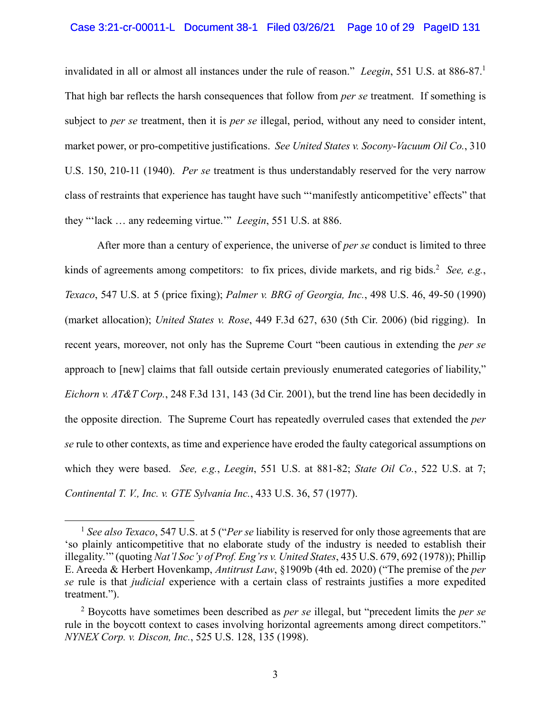#### Case 3:21-cr-00011-L Document 38-1 Filed 03/26/21 Page 10 of 29 PageID 131

invalidated in all or almost all instances under the rule of reason." *Leegin*, 551 U.S. at 886-87.1 That high bar reflects the harsh consequences that follow from *per se* treatment. If something is subject to *per se* treatment, then it is *per se* illegal, period, without any need to consider intent, market power, or pro-competitive justifications. *See United States v. Socony-Vacuum Oil Co.*, 310 U.S. 150, 210-11 (1940). *Per se* treatment is thus understandably reserved for the very narrow class of restraints that experience has taught have such "'manifestly anticompetitive' effects" that they "'lack … any redeeming virtue.'" *Leegin*, 551 U.S. at 886.

After more than a century of experience, the universe of *per se* conduct is limited to three kinds of agreements among competitors: to fix prices, divide markets, and rig bids.<sup>2</sup> See, e.g., *Texaco*, 547 U.S. at 5 (price fixing); *Palmer v. BRG of Georgia, Inc.*, 498 U.S. 46, 49-50 (1990) (market allocation); *United States v. Rose*, 449 F.3d 627, 630 (5th Cir. 2006) (bid rigging). In recent years, moreover, not only has the Supreme Court "been cautious in extending the *per se* approach to [new] claims that fall outside certain previously enumerated categories of liability," *Eichorn v. AT&T Corp.*, 248 F.3d 131, 143 (3d Cir. 2001), but the trend line has been decidedly in the opposite direction. The Supreme Court has repeatedly overruled cases that extended the *per se* rule to other contexts, as time and experience have eroded the faulty categorical assumptions on which they were based. *See, e.g.*, *Leegin*, 551 U.S. at 881-82; *State Oil Co.*, 522 U.S. at 7; *Continental T. V., Inc. v. GTE Sylvania Inc.*, 433 U.S. 36, 57 (1977).

 $\overline{a}$ 

<sup>1</sup> *See also Texaco*, 547 U.S. at 5 ("*Per se* liability is reserved for only those agreements that are 'so plainly anticompetitive that no elaborate study of the industry is needed to establish their illegality.'" (quoting *Nat'l Soc'y of Prof. Eng'rs v. United States*, 435 U.S. 679, 692 (1978)); Phillip E. Areeda & Herbert Hovenkamp, *Antitrust Law*, §1909b (4th ed. 2020) ("The premise of the *per se* rule is that *judicial* experience with a certain class of restraints justifies a more expedited treatment.").

<sup>2</sup> Boycotts have sometimes been described as *per se* illegal, but "precedent limits the *per se* rule in the boycott context to cases involving horizontal agreements among direct competitors." *NYNEX Corp. v. Discon, Inc.*, 525 U.S. 128, 135 (1998).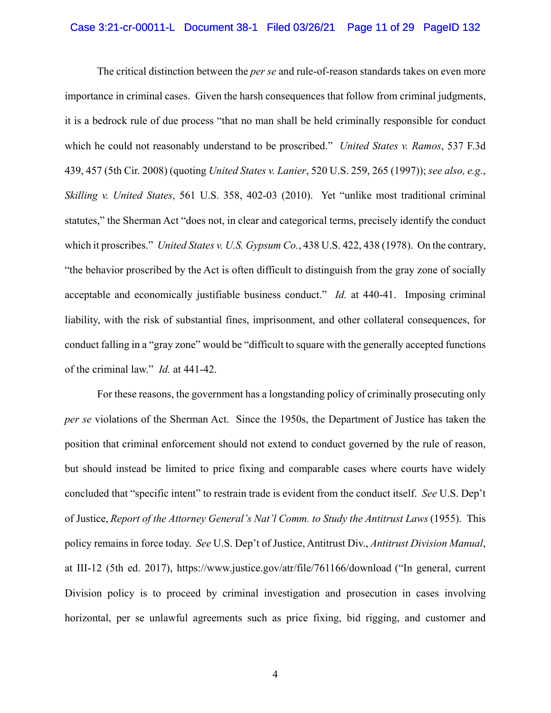## Case 3:21-cr-00011-L Document 38-1 Filed 03/26/21 Page 11 of 29 PageID 132

The critical distinction between the *per se* and rule-of-reason standards takes on even more importance in criminal cases. Given the harsh consequences that follow from criminal judgments, it is a bedrock rule of due process "that no man shall be held criminally responsible for conduct which he could not reasonably understand to be proscribed." *United States v. Ramos*, 537 F.3d 439, 457 (5th Cir. 2008) (quoting *United States v. Lanier*, 520 U.S. 259, 265 (1997)); *see also, e.g.*, *Skilling v. United States*, 561 U.S. 358, 402-03 (2010). Yet "unlike most traditional criminal statutes," the Sherman Act "does not, in clear and categorical terms, precisely identify the conduct which it proscribes." *United States v. U.S. Gypsum Co.*, 438 U.S. 422, 438 (1978). On the contrary, "the behavior proscribed by the Act is often difficult to distinguish from the gray zone of socially acceptable and economically justifiable business conduct." *Id.* at 440-41. Imposing criminal liability, with the risk of substantial fines, imprisonment, and other collateral consequences, for conduct falling in a "gray zone" would be "difficult to square with the generally accepted functions of the criminal law." *Id.* at 441-42.

For these reasons, the government has a longstanding policy of criminally prosecuting only *per se* violations of the Sherman Act. Since the 1950s, the Department of Justice has taken the position that criminal enforcement should not extend to conduct governed by the rule of reason, but should instead be limited to price fixing and comparable cases where courts have widely concluded that "specific intent" to restrain trade is evident from the conduct itself. *See* U.S. Dep't of Justice, *Report of the Attorney General's Nat'l Comm. to Study the Antitrust Laws*(1955). This policy remains in force today. *See* U.S. Dep't of Justice, Antitrust Div., *Antitrust Division Manual*, at III-12 (5th ed. 2017), https://www.justice.gov/atr/file/761166/download ("In general, current Division policy is to proceed by criminal investigation and prosecution in cases involving horizontal, per se unlawful agreements such as price fixing, bid rigging, and customer and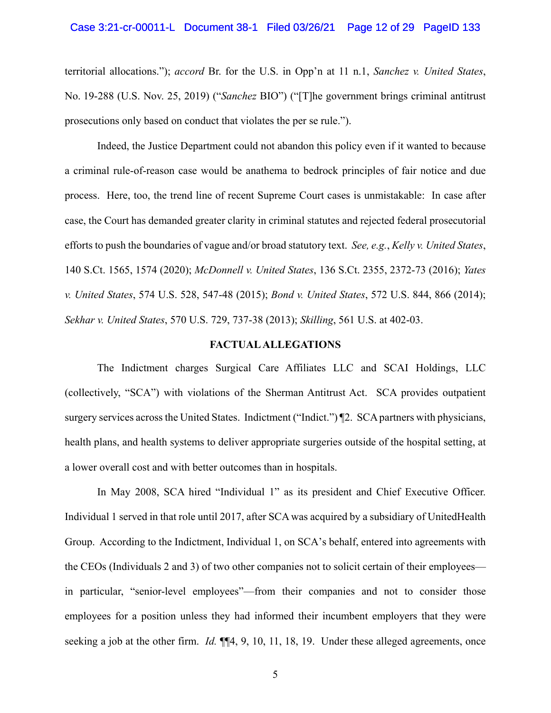## Case 3:21-cr-00011-L Document 38-1 Filed 03/26/21 Page 12 of 29 PageID 133

territorial allocations."); *accord* Br. for the U.S. in Opp'n at 11 n.1, *Sanchez v. United States*, No. 19-288 (U.S. Nov. 25, 2019) ("*Sanchez* BIO") ("[T]he government brings criminal antitrust prosecutions only based on conduct that violates the per se rule.").

Indeed, the Justice Department could not abandon this policy even if it wanted to because a criminal rule-of-reason case would be anathema to bedrock principles of fair notice and due process. Here, too, the trend line of recent Supreme Court cases is unmistakable: In case after case, the Court has demanded greater clarity in criminal statutes and rejected federal prosecutorial efforts to push the boundaries of vague and/or broad statutory text. *See, e.g.*, *Kelly v. United States*, 140 S.Ct. 1565, 1574 (2020); *McDonnell v. United States*, 136 S.Ct. 2355, 2372-73 (2016); *Yates v. United States*, 574 U.S. 528, 547-48 (2015); *Bond v. United States*, 572 U.S. 844, 866 (2014); *Sekhar v. United States*, 570 U.S. 729, 737-38 (2013); *Skilling*, 561 U.S. at 402-03.

#### **FACTUAL ALLEGATIONS**

The Indictment charges Surgical Care Affiliates LLC and SCAI Holdings, LLC (collectively, "SCA") with violations of the Sherman Antitrust Act. SCA provides outpatient surgery services across the United States. Indictment ("Indict.")  $\P$ 2. SCA partners with physicians, health plans, and health systems to deliver appropriate surgeries outside of the hospital setting, at a lower overall cost and with better outcomes than in hospitals.

In May 2008, SCA hired "Individual 1" as its president and Chief Executive Officer. Individual 1 served in that role until 2017, after SCA was acquired by a subsidiary of UnitedHealth Group. According to the Indictment, Individual 1, on SCA's behalf, entered into agreements with the CEOs (Individuals 2 and 3) of two other companies not to solicit certain of their employees in particular, "senior-level employees"—from their companies and not to consider those employees for a position unless they had informed their incumbent employers that they were seeking a job at the other firm. *Id.* ¶¶4, 9, 10, 11, 18, 19. Under these alleged agreements, once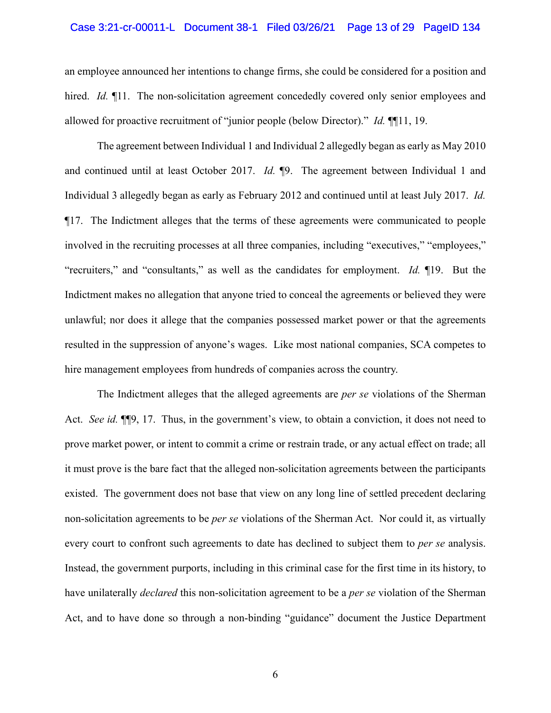## Case 3:21-cr-00011-L Document 38-1 Filed 03/26/21 Page 13 of 29 PageID 134

an employee announced her intentions to change firms, she could be considered for a position and hired. *Id.* ¶11. The non-solicitation agreement concededly covered only senior employees and allowed for proactive recruitment of "junior people (below Director)." *Id.* ¶¶11, 19.

The agreement between Individual 1 and Individual 2 allegedly began as early as May 2010 and continued until at least October 2017. *Id.* ¶9. The agreement between Individual 1 and Individual 3 allegedly began as early as February 2012 and continued until at least July 2017. *Id.* ¶17. The Indictment alleges that the terms of these agreements were communicated to people involved in the recruiting processes at all three companies, including "executives," "employees," "recruiters," and "consultants," as well as the candidates for employment. *Id.* ¶19. But the Indictment makes no allegation that anyone tried to conceal the agreements or believed they were unlawful; nor does it allege that the companies possessed market power or that the agreements resulted in the suppression of anyone's wages. Like most national companies, SCA competes to hire management employees from hundreds of companies across the country.

The Indictment alleges that the alleged agreements are *per se* violations of the Sherman Act. *See id.* ¶¶9, 17. Thus, in the government's view, to obtain a conviction, it does not need to prove market power, or intent to commit a crime or restrain trade, or any actual effect on trade; all it must prove is the bare fact that the alleged non-solicitation agreements between the participants existed. The government does not base that view on any long line of settled precedent declaring non-solicitation agreements to be *per se* violations of the Sherman Act. Nor could it, as virtually every court to confront such agreements to date has declined to subject them to *per se* analysis. Instead, the government purports, including in this criminal case for the first time in its history, to have unilaterally *declared* this non-solicitation agreement to be a *per se* violation of the Sherman Act, and to have done so through a non-binding "guidance" document the Justice Department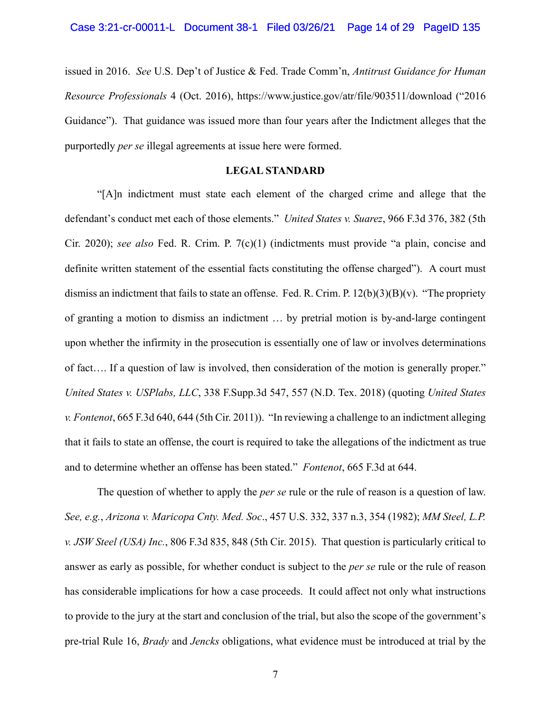issued in 2016. *See* U.S. Dep't of Justice & Fed. Trade Comm'n, *Antitrust Guidance for Human Resource Professionals* 4 (Oct. 2016), https://www.justice.gov/atr/file/903511/download ("2016 Guidance"). That guidance was issued more than four years after the Indictment alleges that the purportedly *per se* illegal agreements at issue here were formed.

## **LEGAL STANDARD**

"[A]n indictment must state each element of the charged crime and allege that the defendant's conduct met each of those elements." *United States v. Suarez*, 966 F.3d 376, 382 (5th Cir. 2020); *see also* Fed. R. Crim. P. 7(c)(1) (indictments must provide "a plain, concise and definite written statement of the essential facts constituting the offense charged"). A court must dismiss an indictment that fails to state an offense. Fed. R. Crim. P.  $12(b)(3)(B)(v)$ . "The propriety of granting a motion to dismiss an indictment … by pretrial motion is by-and-large contingent upon whether the infirmity in the prosecution is essentially one of law or involves determinations of fact…. If a question of law is involved, then consideration of the motion is generally proper." *United States v. USPlabs, LLC*, 338 F.Supp.3d 547, 557 (N.D. Tex. 2018) (quoting *United States v. Fontenot*, 665 F.3d 640, 644 (5th Cir. 2011)). "In reviewing a challenge to an indictment alleging that it fails to state an offense, the court is required to take the allegations of the indictment as true and to determine whether an offense has been stated." *Fontenot*, 665 F.3d at 644.

The question of whether to apply the *per se* rule or the rule of reason is a question of law. *See, e.g.*, *Arizona v. Maricopa Cnty. Med. Soc*., 457 U.S. 332, 337 n.3, 354 (1982); *MM Steel, L.P. v. JSW Steel (USA) Inc.*, 806 F.3d 835, 848 (5th Cir. 2015). That question is particularly critical to answer as early as possible, for whether conduct is subject to the *per se* rule or the rule of reason has considerable implications for how a case proceeds. It could affect not only what instructions to provide to the jury at the start and conclusion of the trial, but also the scope of the government's pre-trial Rule 16, *Brady* and *Jencks* obligations, what evidence must be introduced at trial by the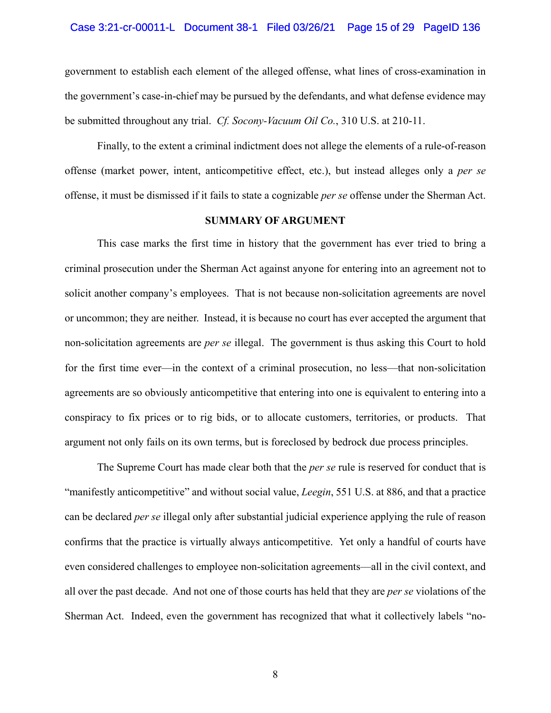## Case 3:21-cr-00011-L Document 38-1 Filed 03/26/21 Page 15 of 29 PageID 136

government to establish each element of the alleged offense, what lines of cross-examination in the government's case-in-chief may be pursued by the defendants, and what defense evidence may be submitted throughout any trial. *Cf. Socony-Vacuum Oil Co.*, 310 U.S. at 210-11.

Finally, to the extent a criminal indictment does not allege the elements of a rule-of-reason offense (market power, intent, anticompetitive effect, etc.), but instead alleges only a *per se* offense, it must be dismissed if it fails to state a cognizable *per se* offense under the Sherman Act.

### **SUMMARY OF ARGUMENT**

This case marks the first time in history that the government has ever tried to bring a criminal prosecution under the Sherman Act against anyone for entering into an agreement not to solicit another company's employees. That is not because non-solicitation agreements are novel or uncommon; they are neither. Instead, it is because no court has ever accepted the argument that non-solicitation agreements are *per se* illegal. The government is thus asking this Court to hold for the first time ever—in the context of a criminal prosecution, no less—that non-solicitation agreements are so obviously anticompetitive that entering into one is equivalent to entering into a conspiracy to fix prices or to rig bids, or to allocate customers, territories, or products. That argument not only fails on its own terms, but is foreclosed by bedrock due process principles.

The Supreme Court has made clear both that the *per se* rule is reserved for conduct that is "manifestly anticompetitive" and without social value, *Leegin*, 551 U.S. at 886, and that a practice can be declared *per se* illegal only after substantial judicial experience applying the rule of reason confirms that the practice is virtually always anticompetitive. Yet only a handful of courts have even considered challenges to employee non-solicitation agreements—all in the civil context, and all over the past decade. And not one of those courts has held that they are *per se* violations of the Sherman Act. Indeed, even the government has recognized that what it collectively labels "no-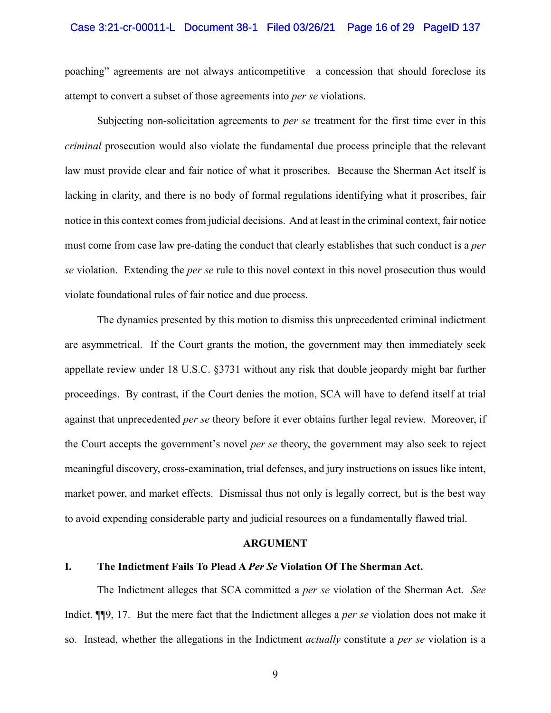## Case 3:21-cr-00011-L Document 38-1 Filed 03/26/21 Page 16 of 29 PageID 137

poaching" agreements are not always anticompetitive—a concession that should foreclose its attempt to convert a subset of those agreements into *per se* violations.

Subjecting non-solicitation agreements to *per se* treatment for the first time ever in this *criminal* prosecution would also violate the fundamental due process principle that the relevant law must provide clear and fair notice of what it proscribes. Because the Sherman Act itself is lacking in clarity, and there is no body of formal regulations identifying what it proscribes, fair notice in this context comes from judicial decisions. And at least in the criminal context, fair notice must come from case law pre-dating the conduct that clearly establishes that such conduct is a *per se* violation. Extending the *per se* rule to this novel context in this novel prosecution thus would violate foundational rules of fair notice and due process.

The dynamics presented by this motion to dismiss this unprecedented criminal indictment are asymmetrical. If the Court grants the motion, the government may then immediately seek appellate review under 18 U.S.C. §3731 without any risk that double jeopardy might bar further proceedings. By contrast, if the Court denies the motion, SCA will have to defend itself at trial against that unprecedented *per se* theory before it ever obtains further legal review. Moreover, if the Court accepts the government's novel *per se* theory, the government may also seek to reject meaningful discovery, cross-examination, trial defenses, and jury instructions on issues like intent, market power, and market effects. Dismissal thus not only is legally correct, but is the best way to avoid expending considerable party and judicial resources on a fundamentally flawed trial.

#### **ARGUMENT**

## **I. The Indictment Fails To Plead A** *Per Se* **Violation Of The Sherman Act.**

The Indictment alleges that SCA committed a *per se* violation of the Sherman Act. *See* Indict. ¶¶9, 17. But the mere fact that the Indictment alleges a *per se* violation does not make it so. Instead, whether the allegations in the Indictment *actually* constitute a *per se* violation is a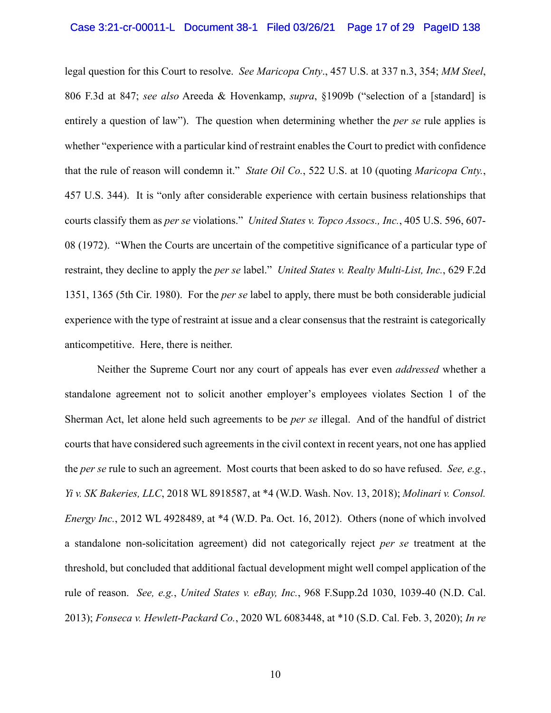## Case 3:21-cr-00011-L Document 38-1 Filed 03/26/21 Page 17 of 29 PageID 138

legal question for this Court to resolve. *See Maricopa Cnty*., 457 U.S. at 337 n.3, 354; *MM Steel*, 806 F.3d at 847; *see also* Areeda & Hovenkamp, *supra*, §1909b ("selection of a [standard] is entirely a question of law"). The question when determining whether the *per se* rule applies is whether "experience with a particular kind of restraint enables the Court to predict with confidence that the rule of reason will condemn it." *State Oil Co.*, 522 U.S. at 10 (quoting *Maricopa Cnty.*, 457 U.S. 344). It is "only after considerable experience with certain business relationships that courts classify them as *per se* violations." *United States v. Topco Assocs., Inc.*, 405 U.S. 596, 607- 08 (1972). "When the Courts are uncertain of the competitive significance of a particular type of restraint, they decline to apply the *per se* label." *United States v. Realty Multi-List, Inc.*, 629 F.2d 1351, 1365 (5th Cir. 1980). For the *per se* label to apply, there must be both considerable judicial experience with the type of restraint at issue and a clear consensus that the restraint is categorically anticompetitive. Here, there is neither.

Neither the Supreme Court nor any court of appeals has ever even *addressed* whether a standalone agreement not to solicit another employer's employees violates Section 1 of the Sherman Act, let alone held such agreements to be *per se* illegal. And of the handful of district courts that have considered such agreements in the civil context in recent years, not one has applied the *per se* rule to such an agreement. Most courts that been asked to do so have refused. *See, e.g.*, *Yi v. SK Bakeries, LLC*, 2018 WL 8918587, at \*4 (W.D. Wash. Nov. 13, 2018); *Molinari v. Consol. Energy Inc.*, 2012 WL 4928489, at \*4 (W.D. Pa. Oct. 16, 2012). Others (none of which involved a standalone non-solicitation agreement) did not categorically reject *per se* treatment at the threshold, but concluded that additional factual development might well compel application of the rule of reason. *See, e.g.*, *United States v. eBay, Inc.*, 968 F.Supp.2d 1030, 1039-40 (N.D. Cal. 2013); *Fonseca v. Hewlett-Packard Co.*, 2020 WL 6083448, at \*10 (S.D. Cal. Feb. 3, 2020); *In re*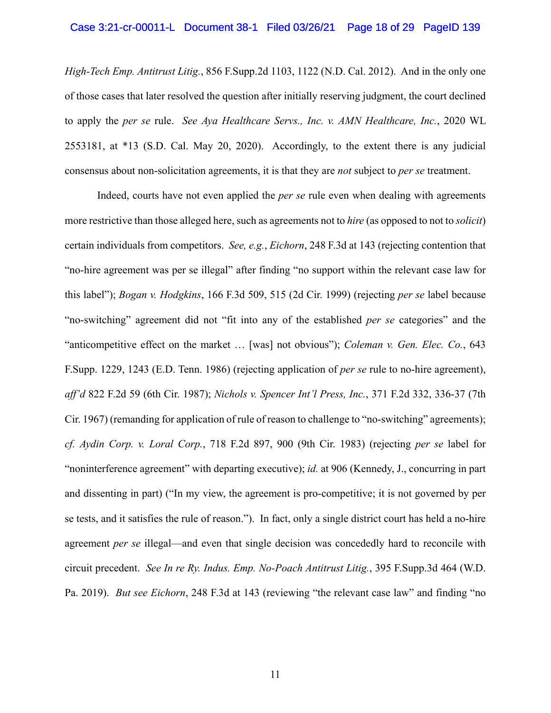## Case 3:21-cr-00011-L Document 38-1 Filed 03/26/21 Page 18 of 29 PageID 139

*High-Tech Emp. Antitrust Litig.*, 856 F.Supp.2d 1103, 1122 (N.D. Cal. 2012). And in the only one of those cases that later resolved the question after initially reserving judgment, the court declined to apply the *per se* rule. *See Aya Healthcare Servs., Inc. v. AMN Healthcare, Inc.*, 2020 WL 2553181, at \*13 (S.D. Cal. May 20, 2020). Accordingly, to the extent there is any judicial consensus about non-solicitation agreements, it is that they are *not* subject to *per se* treatment.

Indeed, courts have not even applied the *per se* rule even when dealing with agreements more restrictive than those alleged here, such as agreements not to *hire* (as opposed to not to *solicit*) certain individuals from competitors. *See, e.g.*, *Eichorn*, 248 F.3d at 143 (rejecting contention that "no-hire agreement was per se illegal" after finding "no support within the relevant case law for this label"); *Bogan v. Hodgkins*, 166 F.3d 509, 515 (2d Cir. 1999) (rejecting *per se* label because "no-switching" agreement did not "fit into any of the established *per se* categories" and the "anticompetitive effect on the market … [was] not obvious"); *Coleman v. Gen. Elec. Co.*, 643 F.Supp. 1229, 1243 (E.D. Tenn. 1986) (rejecting application of *per se* rule to no-hire agreement), *aff'd* 822 F.2d 59 (6th Cir. 1987); *Nichols v. Spencer Int'l Press, Inc.*, 371 F.2d 332, 336-37 (7th Cir. 1967) (remanding for application of rule of reason to challenge to "no-switching" agreements); *cf. Aydin Corp. v. Loral Corp.*, 718 F.2d 897, 900 (9th Cir. 1983) (rejecting *per se* label for "noninterference agreement" with departing executive); *id.* at 906 (Kennedy, J., concurring in part and dissenting in part) ("In my view, the agreement is pro-competitive; it is not governed by per se tests, and it satisfies the rule of reason."). In fact, only a single district court has held a no-hire agreement *per se* illegal—and even that single decision was concededly hard to reconcile with circuit precedent. *See In re Ry. Indus. Emp. No-Poach Antitrust Litig.*, 395 F.Supp.3d 464 (W.D. Pa. 2019). *But see Eichorn*, 248 F.3d at 143 (reviewing "the relevant case law" and finding "no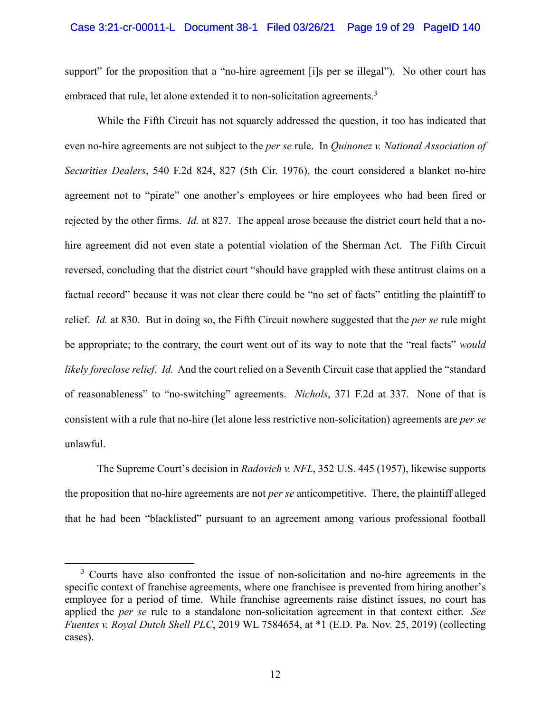#### Case 3:21-cr-00011-L Document 38-1 Filed 03/26/21 Page 19 of 29 PageID 140

support" for the proposition that a "no-hire agreement [i]s per se illegal"). No other court has embraced that rule, let alone extended it to non-solicitation agreements.<sup>3</sup>

While the Fifth Circuit has not squarely addressed the question, it too has indicated that even no-hire agreements are not subject to the *per se* rule. In *Quinonez v. National Association of Securities Dealers*, 540 F.2d 824, 827 (5th Cir. 1976), the court considered a blanket no-hire agreement not to "pirate" one another's employees or hire employees who had been fired or rejected by the other firms. *Id.* at 827. The appeal arose because the district court held that a nohire agreement did not even state a potential violation of the Sherman Act. The Fifth Circuit reversed, concluding that the district court "should have grappled with these antitrust claims on a factual record" because it was not clear there could be "no set of facts" entitling the plaintiff to relief. *Id.* at 830. But in doing so, the Fifth Circuit nowhere suggested that the *per se* rule might be appropriate; to the contrary, the court went out of its way to note that the "real facts" *would likely foreclose relief*. *Id.* And the court relied on a Seventh Circuit case that applied the "standard of reasonableness" to "no-switching" agreements. *Nichols*, 371 F.2d at 337. None of that is consistent with a rule that no-hire (let alone less restrictive non-solicitation) agreements are *per se* unlawful.

The Supreme Court's decision in *Radovich v. NFL*, 352 U.S. 445 (1957), likewise supports the proposition that no-hire agreements are not *per se* anticompetitive. There, the plaintiff alleged that he had been "blacklisted" pursuant to an agreement among various professional football

1

<sup>&</sup>lt;sup>3</sup> Courts have also confronted the issue of non-solicitation and no-hire agreements in the specific context of franchise agreements, where one franchisee is prevented from hiring another's employee for a period of time. While franchise agreements raise distinct issues, no court has applied the *per se* rule to a standalone non-solicitation agreement in that context either. *See Fuentes v. Royal Dutch Shell PLC*, 2019 WL 7584654, at \*1 (E.D. Pa. Nov. 25, 2019) (collecting cases).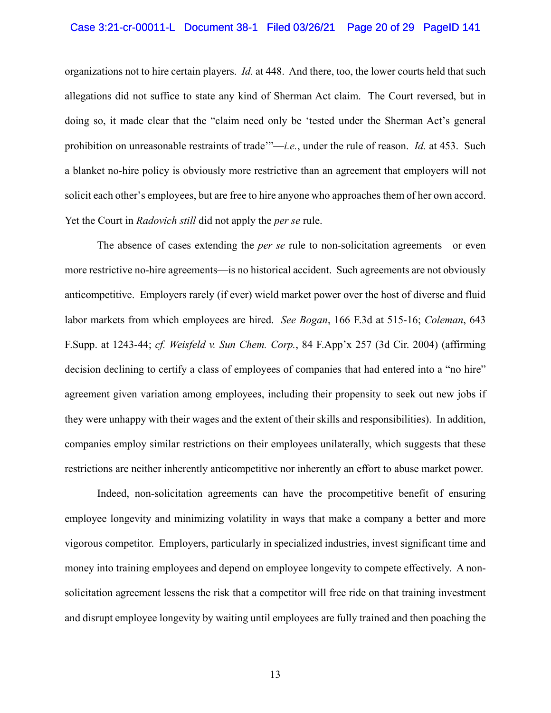## Case 3:21-cr-00011-L Document 38-1 Filed 03/26/21 Page 20 of 29 PageID 141

organizations not to hire certain players. *Id.* at 448. And there, too, the lower courts held that such allegations did not suffice to state any kind of Sherman Act claim. The Court reversed, but in doing so, it made clear that the "claim need only be 'tested under the Sherman Act's general prohibition on unreasonable restraints of trade'"—*i.e.*, under the rule of reason. *Id.* at 453. Such a blanket no-hire policy is obviously more restrictive than an agreement that employers will not solicit each other's employees, but are free to hire anyone who approaches them of her own accord. Yet the Court in *Radovich still* did not apply the *per se* rule.

The absence of cases extending the *per se* rule to non-solicitation agreements—or even more restrictive no-hire agreements—is no historical accident. Such agreements are not obviously anticompetitive. Employers rarely (if ever) wield market power over the host of diverse and fluid labor markets from which employees are hired. *See Bogan*, 166 F.3d at 515-16; *Coleman*, 643 F.Supp. at 1243-44; *cf. Weisfeld v. Sun Chem. Corp.*, 84 F.App'x 257 (3d Cir. 2004) (affirming decision declining to certify a class of employees of companies that had entered into a "no hire" agreement given variation among employees, including their propensity to seek out new jobs if they were unhappy with their wages and the extent of their skills and responsibilities). In addition, companies employ similar restrictions on their employees unilaterally, which suggests that these restrictions are neither inherently anticompetitive nor inherently an effort to abuse market power.

Indeed, non-solicitation agreements can have the procompetitive benefit of ensuring employee longevity and minimizing volatility in ways that make a company a better and more vigorous competitor. Employers, particularly in specialized industries, invest significant time and money into training employees and depend on employee longevity to compete effectively. A nonsolicitation agreement lessens the risk that a competitor will free ride on that training investment and disrupt employee longevity by waiting until employees are fully trained and then poaching the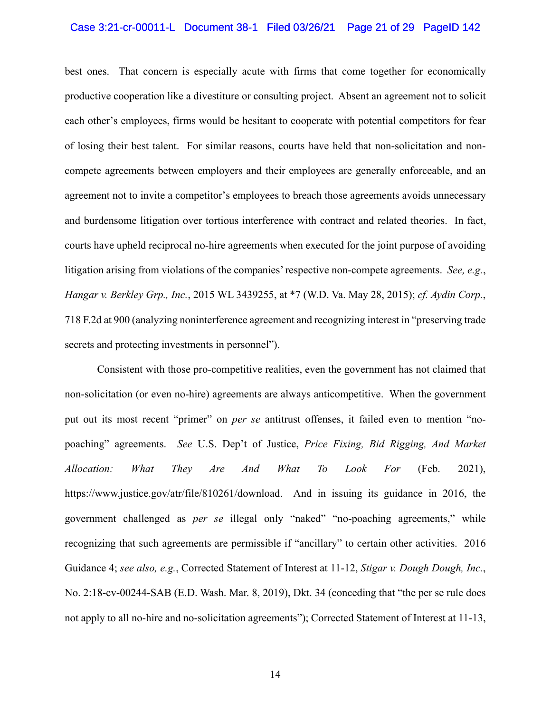## Case 3:21-cr-00011-L Document 38-1 Filed 03/26/21 Page 21 of 29 PageID 142

best ones. That concern is especially acute with firms that come together for economically productive cooperation like a divestiture or consulting project. Absent an agreement not to solicit each other's employees, firms would be hesitant to cooperate with potential competitors for fear of losing their best talent. For similar reasons, courts have held that non-solicitation and noncompete agreements between employers and their employees are generally enforceable, and an agreement not to invite a competitor's employees to breach those agreements avoids unnecessary and burdensome litigation over tortious interference with contract and related theories. In fact, courts have upheld reciprocal no-hire agreements when executed for the joint purpose of avoiding litigation arising from violations of the companies' respective non-compete agreements. *See, e.g.*, *Hangar v. Berkley Grp., Inc.*, 2015 WL 3439255, at \*7 (W.D. Va. May 28, 2015); *cf. Aydin Corp.*, 718 F.2d at 900 (analyzing noninterference agreement and recognizing interest in "preserving trade secrets and protecting investments in personnel").

Consistent with those pro-competitive realities, even the government has not claimed that non-solicitation (or even no-hire) agreements are always anticompetitive. When the government put out its most recent "primer" on *per se* antitrust offenses, it failed even to mention "nopoaching" agreements. *See* U.S. Dep't of Justice, *Price Fixing, Bid Rigging, And Market Allocation: What They Are And What To Look For* (Feb. 2021), https://www.justice.gov/atr/file/810261/download. And in issuing its guidance in 2016, the government challenged as *per se* illegal only "naked" "no-poaching agreements," while recognizing that such agreements are permissible if "ancillary" to certain other activities. 2016 Guidance 4; *see also, e.g.*, Corrected Statement of Interest at 11-12, *Stigar v. Dough Dough, Inc.*, No. 2:18-cv-00244-SAB (E.D. Wash. Mar. 8, 2019), Dkt. 34 (conceding that "the per se rule does not apply to all no-hire and no-solicitation agreements"); Corrected Statement of Interest at 11-13,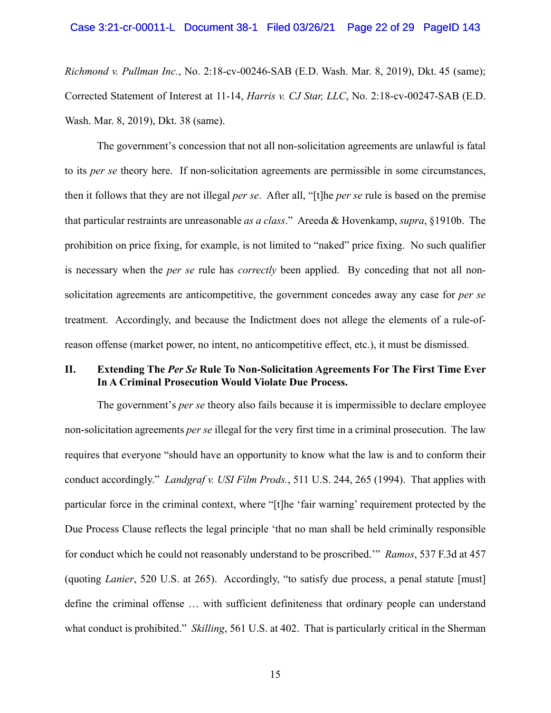*Richmond v. Pullman Inc.*, No. 2:18-cv-00246-SAB (E.D. Wash. Mar. 8, 2019), Dkt. 45 (same); Corrected Statement of Interest at 11-14, *Harris v. CJ Star, LLC*, No. 2:18-cv-00247-SAB (E.D. Wash. Mar. 8, 2019), Dkt. 38 (same).

The government's concession that not all non-solicitation agreements are unlawful is fatal to its *per se* theory here. If non-solicitation agreements are permissible in some circumstances, then it follows that they are not illegal *per se*. After all, "[t]he *per se* rule is based on the premise that particular restraints are unreasonable *as a class*." Areeda & Hovenkamp, *supra*, §1910b. The prohibition on price fixing, for example, is not limited to "naked" price fixing. No such qualifier is necessary when the *per se* rule has *correctly* been applied. By conceding that not all nonsolicitation agreements are anticompetitive, the government concedes away any case for *per se* treatment. Accordingly, and because the Indictment does not allege the elements of a rule-ofreason offense (market power, no intent, no anticompetitive effect, etc.), it must be dismissed.

## **II. Extending The** *Per Se* **Rule To Non-Solicitation Agreements For The First Time Ever In A Criminal Prosecution Would Violate Due Process.**

The government's *per se* theory also fails because it is impermissible to declare employee non-solicitation agreements *per se* illegal for the very first time in a criminal prosecution. The law requires that everyone "should have an opportunity to know what the law is and to conform their conduct accordingly." *Landgraf v. USI Film Prods.*, 511 U.S. 244, 265 (1994). That applies with particular force in the criminal context, where "[t]he 'fair warning' requirement protected by the Due Process Clause reflects the legal principle 'that no man shall be held criminally responsible for conduct which he could not reasonably understand to be proscribed.'" *Ramos*, 537 F.3d at 457 (quoting *Lanier*, 520 U.S. at 265). Accordingly, "to satisfy due process, a penal statute [must] define the criminal offense … with sufficient definiteness that ordinary people can understand what conduct is prohibited." *Skilling*, 561 U.S. at 402. That is particularly critical in the Sherman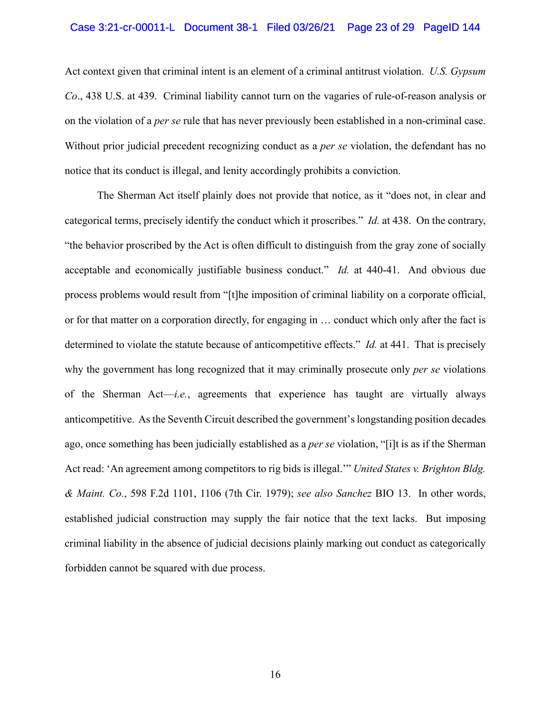## Case 3:21-cr-00011-L Document 38-1 Filed 03/26/21 Page 23 of 29 PageID 144

Act context given that criminal intent is an element of a criminal antitrust violation. *U.S. Gypsum Co*., 438 U.S. at 439. Criminal liability cannot turn on the vagaries of rule-of-reason analysis or on the violation of a *per se* rule that has never previously been established in a non-criminal case. Without prior judicial precedent recognizing conduct as a *per se* violation, the defendant has no notice that its conduct is illegal, and lenity accordingly prohibits a conviction.

The Sherman Act itself plainly does not provide that notice, as it "does not, in clear and categorical terms, precisely identify the conduct which it proscribes." *Id.* at 438. On the contrary, "the behavior proscribed by the Act is often difficult to distinguish from the gray zone of socially acceptable and economically justifiable business conduct." *Id.* at 440-41. And obvious due process problems would result from "[t]he imposition of criminal liability on a corporate official, or for that matter on a corporation directly, for engaging in … conduct which only after the fact is determined to violate the statute because of anticompetitive effects." *Id.* at 441. That is precisely why the government has long recognized that it may criminally prosecute only *per se* violations of the Sherman Act—*i.e.*, agreements that experience has taught are virtually always anticompetitive. As the Seventh Circuit described the government's longstanding position decades ago, once something has been judicially established as a *per se* violation, "[i]t is as if the Sherman Act read: 'An agreement among competitors to rig bids is illegal.'" *United States v. Brighton Bldg. & Maint. Co.*, 598 F.2d 1101, 1106 (7th Cir. 1979); *see also Sanchez* BIO 13. In other words, established judicial construction may supply the fair notice that the text lacks. But imposing criminal liability in the absence of judicial decisions plainly marking out conduct as categorically forbidden cannot be squared with due process.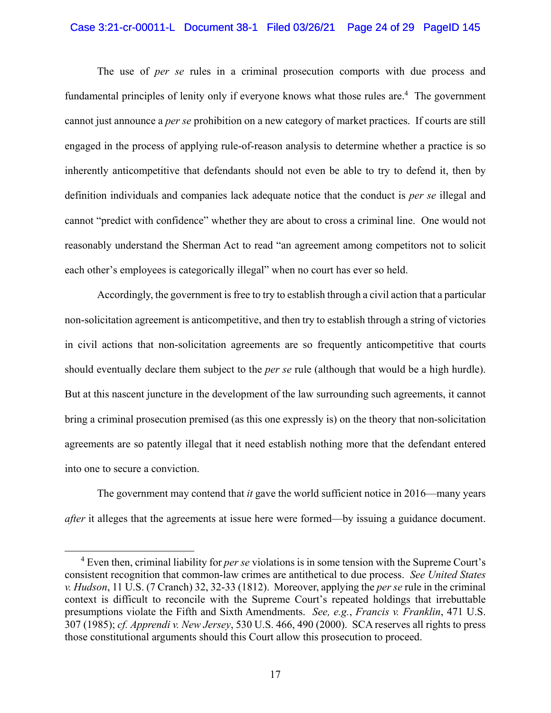#### Case 3:21-cr-00011-L Document 38-1 Filed 03/26/21 Page 24 of 29 PageID 145

The use of *per se* rules in a criminal prosecution comports with due process and fundamental principles of lenity only if everyone knows what those rules are.<sup>4</sup> The government cannot just announce a *per se* prohibition on a new category of market practices. If courts are still engaged in the process of applying rule-of-reason analysis to determine whether a practice is so inherently anticompetitive that defendants should not even be able to try to defend it, then by definition individuals and companies lack adequate notice that the conduct is *per se* illegal and cannot "predict with confidence" whether they are about to cross a criminal line. One would not reasonably understand the Sherman Act to read "an agreement among competitors not to solicit each other's employees is categorically illegal" when no court has ever so held.

Accordingly, the government is free to try to establish through a civil action that a particular non-solicitation agreement is anticompetitive, and then try to establish through a string of victories in civil actions that non-solicitation agreements are so frequently anticompetitive that courts should eventually declare them subject to the *per se* rule (although that would be a high hurdle). But at this nascent juncture in the development of the law surrounding such agreements, it cannot bring a criminal prosecution premised (as this one expressly is) on the theory that non-solicitation agreements are so patently illegal that it need establish nothing more that the defendant entered into one to secure a conviction.

The government may contend that *it* gave the world sufficient notice in 2016—many years *after* it alleges that the agreements at issue here were formed—by issuing a guidance document.

 $\overline{a}$ 

<sup>4</sup> Even then, criminal liability for *per se* violations is in some tension with the Supreme Court's consistent recognition that common-law crimes are antithetical to due process. *See United States v. Hudson*, 11 U.S. (7 Cranch) 32, 32-33 (1812).Moreover, applying the *per se* rule in the criminal context is difficult to reconcile with the Supreme Court's repeated holdings that irrebuttable presumptions violate the Fifth and Sixth Amendments. *See, e.g.*, *Francis v. Franklin*, 471 U.S. 307 (1985); *cf. Apprendi v. New Jersey*, 530 U.S. 466, 490 (2000). SCA reserves all rights to press those constitutional arguments should this Court allow this prosecution to proceed.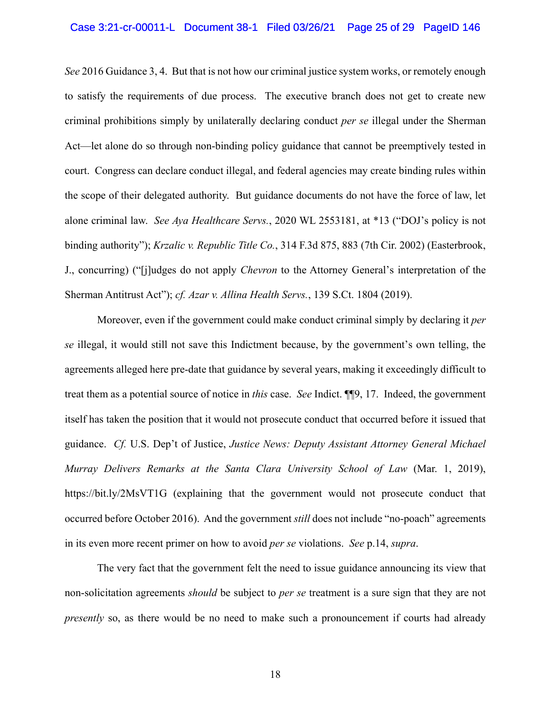## Case 3:21-cr-00011-L Document 38-1 Filed 03/26/21 Page 25 of 29 PageID 146

*See* 2016 Guidance 3, 4. But that is not how our criminal justice system works, or remotely enough to satisfy the requirements of due process. The executive branch does not get to create new criminal prohibitions simply by unilaterally declaring conduct *per se* illegal under the Sherman Act—let alone do so through non-binding policy guidance that cannot be preemptively tested in court. Congress can declare conduct illegal, and federal agencies may create binding rules within the scope of their delegated authority. But guidance documents do not have the force of law, let alone criminal law. *See Aya Healthcare Servs.*, 2020 WL 2553181, at \*13 ("DOJ's policy is not binding authority"); *Krzalic v. Republic Title Co.*, 314 F.3d 875, 883 (7th Cir. 2002) (Easterbrook, J., concurring) ("[j]udges do not apply *Chevron* to the Attorney General's interpretation of the Sherman Antitrust Act"); *cf. Azar v. Allina Health Servs.*, 139 S.Ct. 1804 (2019).

Moreover, even if the government could make conduct criminal simply by declaring it *per se* illegal, it would still not save this Indictment because, by the government's own telling, the agreements alleged here pre-date that guidance by several years, making it exceedingly difficult to treat them as a potential source of notice in *this* case. *See* Indict. ¶¶9, 17. Indeed, the government itself has taken the position that it would not prosecute conduct that occurred before it issued that guidance. *Cf.* U.S. Dep't of Justice, *Justice News: Deputy Assistant Attorney General Michael Murray Delivers Remarks at the Santa Clara University School of Law* (Mar. 1, 2019), https://bit.ly/2MsVT1G (explaining that the government would not prosecute conduct that occurred before October 2016). And the government *still* does not include "no-poach" agreements in its even more recent primer on how to avoid *per se* violations. *See* p.14, *supra*.

The very fact that the government felt the need to issue guidance announcing its view that non-solicitation agreements *should* be subject to *per se* treatment is a sure sign that they are not *presently* so, as there would be no need to make such a pronouncement if courts had already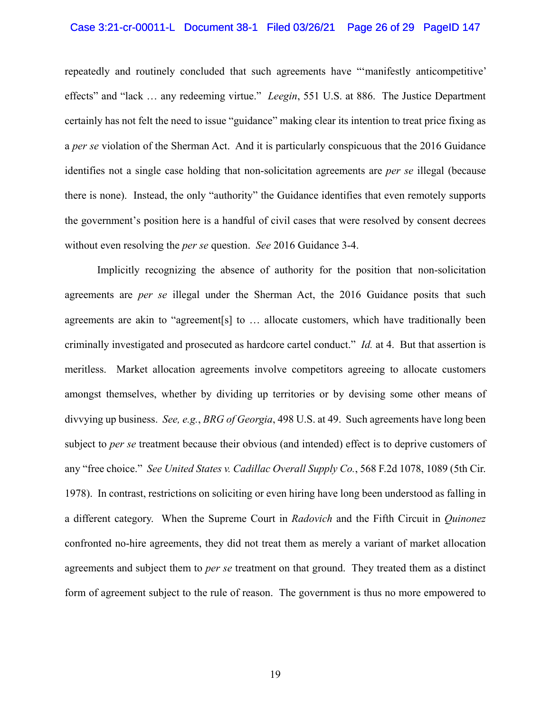## Case 3:21-cr-00011-L Document 38-1 Filed 03/26/21 Page 26 of 29 PageID 147

repeatedly and routinely concluded that such agreements have "'manifestly anticompetitive' effects" and "lack … any redeeming virtue." *Leegin*, 551 U.S. at 886. The Justice Department certainly has not felt the need to issue "guidance" making clear its intention to treat price fixing as a *per se* violation of the Sherman Act. And it is particularly conspicuous that the 2016 Guidance identifies not a single case holding that non-solicitation agreements are *per se* illegal (because there is none). Instead, the only "authority" the Guidance identifies that even remotely supports the government's position here is a handful of civil cases that were resolved by consent decrees without even resolving the *per se* question. *See* 2016 Guidance 3-4.

Implicitly recognizing the absence of authority for the position that non-solicitation agreements are *per se* illegal under the Sherman Act, the 2016 Guidance posits that such agreements are akin to "agreement[s] to … allocate customers, which have traditionally been criminally investigated and prosecuted as hardcore cartel conduct." *Id.* at 4. But that assertion is meritless. Market allocation agreements involve competitors agreeing to allocate customers amongst themselves, whether by dividing up territories or by devising some other means of divvying up business. *See, e.g.*, *BRG of Georgia*, 498 U.S. at 49. Such agreements have long been subject to *per se* treatment because their obvious (and intended) effect is to deprive customers of any "free choice." *See United States v. Cadillac Overall Supply Co.*, 568 F.2d 1078, 1089 (5th Cir. 1978). In contrast, restrictions on soliciting or even hiring have long been understood as falling in a different category. When the Supreme Court in *Radovich* and the Fifth Circuit in *Quinonez* confronted no-hire agreements, they did not treat them as merely a variant of market allocation agreements and subject them to *per se* treatment on that ground. They treated them as a distinct form of agreement subject to the rule of reason. The government is thus no more empowered to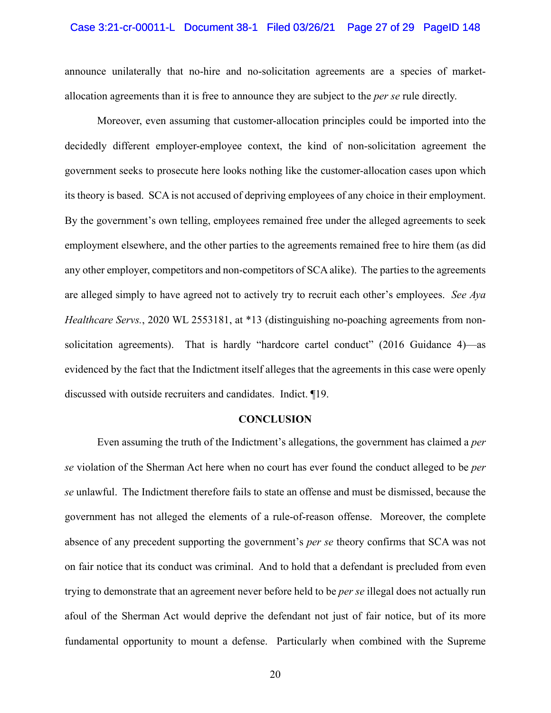## Case 3:21-cr-00011-L Document 38-1 Filed 03/26/21 Page 27 of 29 PageID 148

announce unilaterally that no-hire and no-solicitation agreements are a species of marketallocation agreements than it is free to announce they are subject to the *per se* rule directly.

Moreover, even assuming that customer-allocation principles could be imported into the decidedly different employer-employee context, the kind of non-solicitation agreement the government seeks to prosecute here looks nothing like the customer-allocation cases upon which its theory is based. SCA is not accused of depriving employees of any choice in their employment. By the government's own telling, employees remained free under the alleged agreements to seek employment elsewhere, and the other parties to the agreements remained free to hire them (as did any other employer, competitors and non-competitors of SCA alike). The parties to the agreements are alleged simply to have agreed not to actively try to recruit each other's employees. *See Aya Healthcare Servs.*, 2020 WL 2553181, at \*13 (distinguishing no-poaching agreements from nonsolicitation agreements). That is hardly "hardcore cartel conduct" (2016 Guidance 4)—as evidenced by the fact that the Indictment itself alleges that the agreements in this case were openly discussed with outside recruiters and candidates. Indict. ¶19.

#### **CONCLUSION**

Even assuming the truth of the Indictment's allegations, the government has claimed a *per se* violation of the Sherman Act here when no court has ever found the conduct alleged to be *per se* unlawful. The Indictment therefore fails to state an offense and must be dismissed, because the government has not alleged the elements of a rule-of-reason offense. Moreover, the complete absence of any precedent supporting the government's *per se* theory confirms that SCA was not on fair notice that its conduct was criminal. And to hold that a defendant is precluded from even trying to demonstrate that an agreement never before held to be *per se* illegal does not actually run afoul of the Sherman Act would deprive the defendant not just of fair notice, but of its more fundamental opportunity to mount a defense. Particularly when combined with the Supreme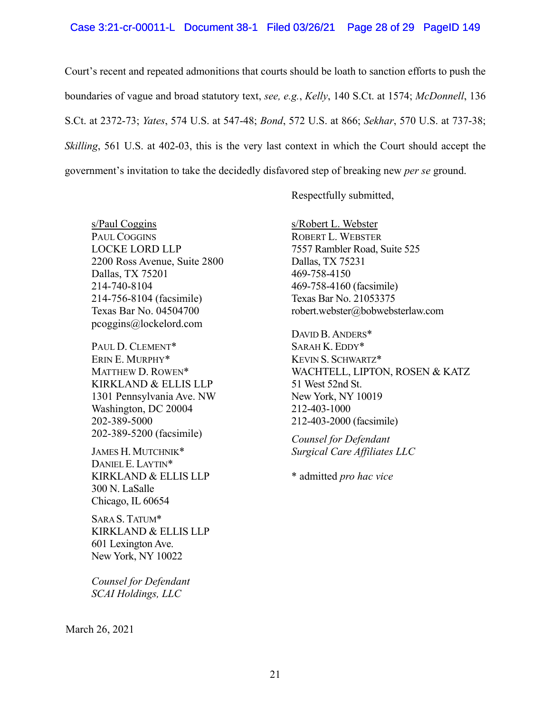#### Case 3:21-cr-00011-L Document 38-1 Filed 03/26/21 Page 28 of 29 PageID 149

Court's recent and repeated admonitions that courts should be loath to sanction efforts to push the boundaries of vague and broad statutory text, *see, e.g.*, *Kelly*, 140 S.Ct. at 1574; *McDonnell*, 136 S.Ct. at 2372-73; *Yates*, 574 U.S. at 547-48; *Bond*, 572 U.S. at 866; *Sekhar*, 570 U.S. at 737-38; *Skilling*, 561 U.S. at 402-03, this is the very last context in which the Court should accept the government's invitation to take the decidedly disfavored step of breaking new *per se* ground.

Respectfully submitted,

s/Paul Coggins PAUL COGGINS LOCKE LORD LLP 2200 Ross Avenue, Suite 2800 Dallas, TX 75201 214-740-8104 214-756-8104 (facsimile) Texas Bar No. 04504700 pcoggins@lockelord.com

PAUL D. CLEMENT\* ERIN E. MURPHY\* MATTHEW D. ROWEN\* KIRKLAND & ELLIS LLP 1301 Pennsylvania Ave. NW Washington, DC 20004 202-389-5000 202-389-5200 (facsimile)

JAMES H. MUTCHNIK\* DANIEL E. LAYTIN\* KIRKLAND & ELLIS LLP 300 N. LaSalle Chicago, IL 60654

SARA S. TATUM\* KIRKLAND & ELLIS LLP 601 Lexington Ave. New York, NY 10022

*Counsel for Defendant SCAI Holdings, LLC* 

s/Robert L. Webster ROBERT L. WEBSTER 7557 Rambler Road, Suite 525 Dallas, TX 75231 469-758-4150 469-758-4160 (facsimile) Texas Bar No. 21053375 robert.webster@bobwebsterlaw.com

DAVID B. ANDERS\* SARAH K. EDDY\* KEVIN S. SCHWARTZ\* WACHTELL, LIPTON, ROSEN & KATZ 51 West 52nd St. New York, NY 10019 212-403-1000 212-403-2000 (facsimile)

*Counsel for Defendant Surgical Care Affiliates LLC* 

\* admitted *pro hac vice* 

March 26, 2021